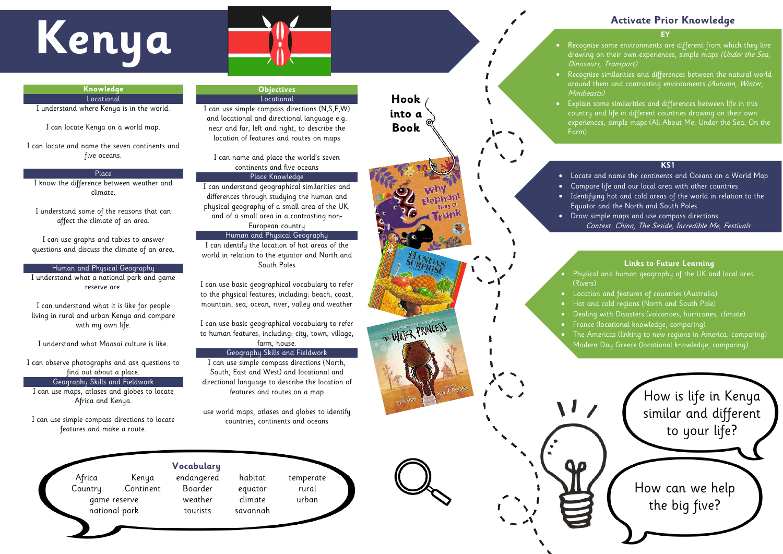- drawing on their own experiences, simple maps (Under the Sea, Dinosaurs, Transport)
- Recognise similarities and differences between the natural world around them and contrasting environments (Autumn, Winter,
- Explain some similarities and differences between life in this
	- country and life in different countries drawing on their own
	- experiences, simple maps (All About Me, Under the Sea, On the

Minibeasts) Farm)

## **Activate Prior Knowledge**

## **KS1**

## $\bullet$  Physical and human geography of the UK and local area Tropics of Cancer and Capricorn, land use patterns (Egypt) (Rivers) **Links to Future Learning**

• Locate and name the continents and Oceans on a World Map • Compare life and our local area with other countries • Identifying hot and cold areas of the world in relation to the Equator and the North and South Poles • Draw simple maps and use compass directions Context: China, The Seside, Incredible Me, Festivals

 $\mathcal{F}(\mathcal{F})$  and physical geography (UK, Africa (Egypt),  $\mathcal{F}(\mathcal{F})$ 



- Location and features of countries (Australia)
- Hot and cold regions (North and South Pole)
- Dealing with Disasters (volcanoes, hurricanes, climate)
- France (locational knowledge, comparing)
- The Americas (linking to new regions in America, comparing )
	- Modern Day Greece (locational knowledge, comparing)

# **Kendy School School School School School School School School School School School School School School School School School School School School School School School School School School School School School School Schoo**

**Knowledge Locational** I understand where Kenya is in the world.

I can locate Kenya on a world map.

I can locate and name the seven continents and five oceans.

Place I know the difference between weather and climate.

I understand some of the reasons that can affect the climate of an area.

I can use graphs and tables to answer questions and discuss the climate of an area.

Human and Physical Geography I understand what a national park and game reserve are.

I can understand what it is like for people living in rural and urban Kenya and compare with my own life.

I understand what Maasai culture is like.

I can observe photographs and ask questions to find out about a place. Geography Skills and Fieldwork I can use maps, atlases and globes to locate Africa and Kenya.

I can use simple compass directions to locate features and make a route.



## **Objectives** Locational

I can use simple compass directions (N,S,E,W) and locational and directional language e.g. near and far, left and right, to describe the location of features and routes on maps

I can name and place the world's seven continents and five oceans Place Knowledge

I can understand geographical similarities and differences through studying the human and physical geography of a small area of the UK, and of a small area in a contrasting non - European country

## Human and Physical Geography

I can identify the location of hot areas of the world in relation to the equator and North and South Poles

I can use basic geographical vocabulary to refer to the physical features, including: beach, coast, mountain, sea, ocean, river, valley and weather

I can use basic geographical vocabulary to refer to human features, including: city, town, village, farm, house.

## Geography Skills and Fieldwork

I can use simple compass directions (North, South, East and West) and locational and directional language to describe the location of features and routes on a map

use world maps, atlases and globes to identify countries, continents and oceans

## **Vocabulary**

Africa Kenya endangered habitat temperate Country Continent Boarder equator rural game reserve weather climate urban national park tourists savannah

**Hook into a Book**



V-WATER PRINCESS